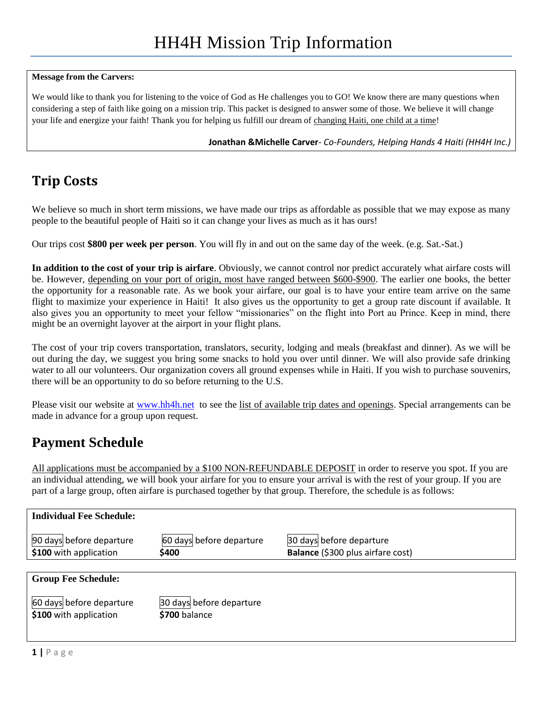#### **Message from the Carvers:**

We would like to thank you for listening to the voice of God as He challenges you to GO! We know there are many questions when considering a step of faith like going on a mission trip. This packet is designed to answer some of those. We believe it will change your life and energize your faith! Thank you for helping us fulfill our dream of changing Haiti, one child at a time!

**Jonathan &Michelle Carver***- Co-Founders, Helping Hands 4 Haiti (HH4H Inc.)*

# **Trip Costs**

We believe so much in short term missions, we have made our trips as affordable as possible that we may expose as many people to the beautiful people of Haiti so it can change your lives as much as it has ours!

Our trips cost **\$800 per week per person**. You will fly in and out on the same day of the week. (e.g. Sat.-Sat.)

**In addition to the cost of your trip is airfare**. Obviously, we cannot control nor predict accurately what airfare costs will be. However, depending on your port of origin, most have ranged between \$600-\$900. The earlier one books, the better the opportunity for a reasonable rate. As we book your airfare, our goal is to have your entire team arrive on the same flight to maximize your experience in Haiti! It also gives us the opportunity to get a group rate discount if available. It also gives you an opportunity to meet your fellow "missionaries" on the flight into Port au Prince. Keep in mind, there might be an overnight layover at the airport in your flight plans.

The cost of your trip covers transportation, translators, security, lodging and meals (breakfast and dinner). As we will be out during the day, we suggest you bring some snacks to hold you over until dinner. We will also provide safe drinking water to all our volunteers. Our organization covers all ground expenses while in Haiti. If you wish to purchase souvenirs, there will be an opportunity to do so before returning to the U.S.

Please visit our website at [www.hh4h.net](http://www.helpinghands4haiti.com/) to see the list of available trip dates and openings. Special arrangements can be made in advance for a group upon request.

## **Payment Schedule**

All applications must be accompanied by a \$100 NON-REFUNDABLE DEPOSIT in order to reserve you spot. If you are an individual attending, we will book your airfare for you to ensure your arrival is with the rest of your group. If you are part of a large group, often airfare is purchased together by that group. Therefore, the schedule is as follows:

| <b>Individual Fee Schedule:</b>                    |                                           |                                                               |
|----------------------------------------------------|-------------------------------------------|---------------------------------------------------------------|
| 90 days before departure<br>\$100 with application | 60 days before departure<br>\$400         | 30 days before departure<br>Balance (\$300 plus airfare cost) |
|                                                    |                                           |                                                               |
| <b>Group Fee Schedule:</b>                         |                                           |                                                               |
| 60 days before departure<br>\$100 with application | 30 days before departure<br>\$700 balance |                                                               |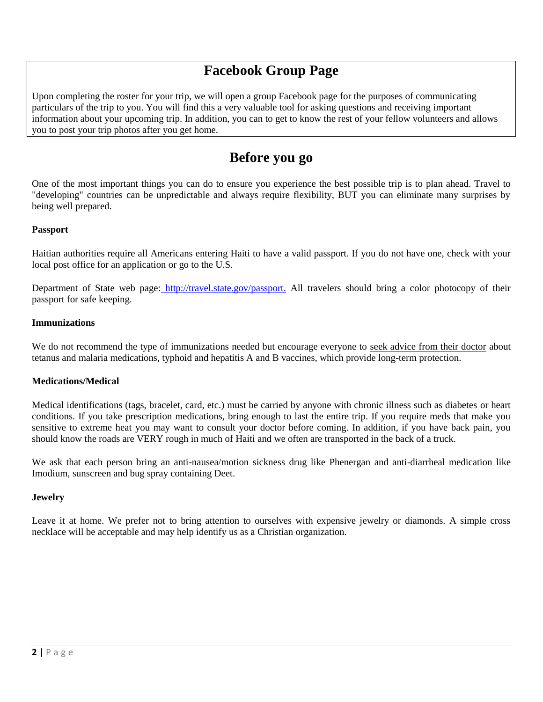# **Facebook Group Page**

Upon completing the roster for your trip, we will open a group Facebook page for the purposes of communicating particulars of the trip to you. You will find this a very valuable tool for asking questions and receiving important information about your upcoming trip. In addition, you can to get to know the rest of your fellow volunteers and allows you to post your trip photos after you get home.

## **Before you go**

One of the most important things you can do to ensure you experience the best possible trip is to plan ahead. Travel to "developing" countries can be unpredictable and always require flexibility, BUT you can eliminate many surprises by being well prepared.

## **Passport**

Haitian authorities require all Americans entering Haiti to have a valid passport. If you do not have one, check with your local post office for an application or go to the U.S.

Department of State web page: [http://travel.state.gov/passport.](http://travel.state.gov/passport) All travelers should bring a color photocopy of their passport for safe keeping.

#### **Immunizations**

We do not recommend the type of immunizations needed but encourage everyone to seek advice from their doctor about tetanus and malaria medications, typhoid and hepatitis A and B vaccines, which provide long-term protection.

## **Medications/Medical**

Medical identifications (tags, bracelet, card, etc.) must be carried by anyone with chronic illness such as diabetes or heart conditions. If you take prescription medications, bring enough to last the entire trip. If you require meds that make you sensitive to extreme heat you may want to consult your doctor before coming. In addition, if you have back pain, you should know the roads are VERY rough in much of Haiti and we often are transported in the back of a truck.

We ask that each person bring an anti-nausea/motion sickness drug like Phenergan and anti-diarrheal medication like Imodium, sunscreen and bug spray containing Deet.

## **Jewelry**

Leave it at home. We prefer not to bring attention to ourselves with expensive jewelry or diamonds. A simple cross necklace will be acceptable and may help identify us as a Christian organization.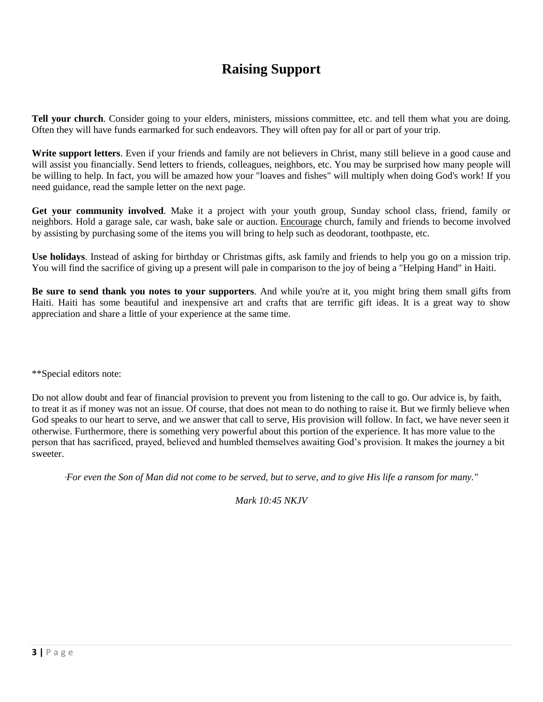# **Raising Support**

**Tell your church**. Consider going to your elders, ministers, missions committee, etc. and tell them what you are doing. Often they will have funds earmarked for such endeavors. They will often pay for all or part of your trip.

**Write support letters**. Even if your friends and family are not believers in Christ, many still believe in a good cause and will assist you financially. Send letters to friends, colleagues, neighbors, etc. You may be surprised how many people will be willing to help. In fact, you will be amazed how your "loaves and fishes" will multiply when doing God's work! If you need guidance, read the sample letter on the next page.

**Get your community involved**. Make it a project with your youth group, Sunday school class, friend, family or neighbors. Hold a garage sale, car wash, bake sale or auction. Encourage church, family and friends to become involved by assisting by purchasing some of the items you will bring to help such as deodorant, toothpaste, etc.

**Use holidays**. Instead of asking for birthday or Christmas gifts, ask family and friends to help you go on a mission trip. You will find the sacrifice of giving up a present will pale in comparison to the joy of being a "Helping Hand" in Haiti.

**Be sure to send thank you notes to your supporters**. And while you're at it, you might bring them small gifts from Haiti. Haiti has some beautiful and inexpensive art and crafts that are terrific gift ideas. It is a great way to show appreciation and share a little of your experience at the same time.

\*\*Special editors note:

Do not allow doubt and fear of financial provision to prevent you from listening to the call to go. Our advice is, by faith, to treat it as if money was not an issue. Of course, that does not mean to do nothing to raise it. But we firmly believe when God speaks to our heart to serve, and we answer that call to serve, His provision will follow. In fact, we have never seen it otherwise. Furthermore, there is something very powerful about this portion of the experience. It has more value to the person that has sacrificed, prayed, believed and humbled themselves awaiting God's provision. It makes the journey a bit sweeter.

*"For even the Son of Man did not come to be served, but to serve, and to give His life a ransom for many."* 

*Mark 10:45 NKJV*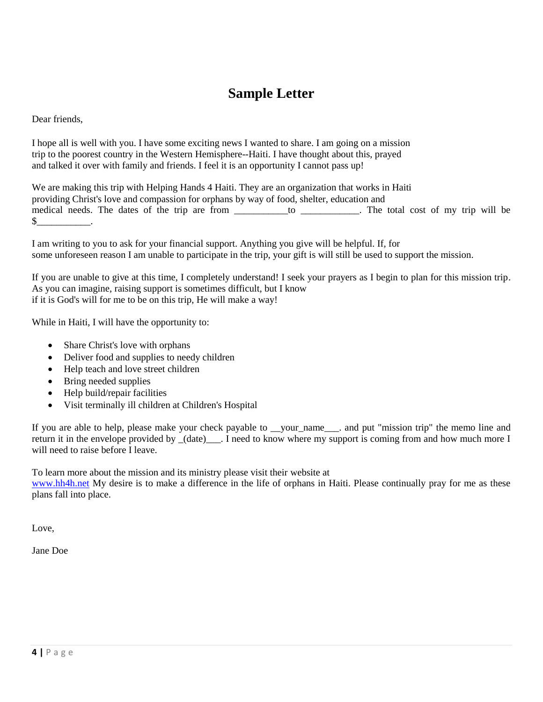# **Sample Letter**

Dear friends,

I hope all is well with you. I have some exciting news I wanted to share. I am going on a mission trip to the poorest country in the Western Hemisphere--Haiti. I have thought about this, prayed and talked it over with family and friends. I feel it is an opportunity I cannot pass up!

We are making this trip with Helping Hands 4 Haiti. They are an organization that works in Haiti providing Christ's love and compassion for orphans by way of food, shelter, education and medical needs. The dates of the trip are from \_\_\_\_\_\_\_\_\_\_to \_\_\_\_\_\_\_\_\_\_. The total cost of my trip will be  $\mathbb{S}$  .

I am writing to you to ask for your financial support. Anything you give will be helpful. If, for some unforeseen reason I am unable to participate in the trip, your gift is will still be used to support the mission.

If you are unable to give at this time, I completely understand! I seek your prayers as I begin to plan for this mission trip. As you can imagine, raising support is sometimes difficult, but I know if it is God's will for me to be on this trip, He will make a way!

While in Haiti, I will have the opportunity to:

- Share Christ's love with orphans
- Deliver food and supplies to needy children
- Help teach and love street children
- Bring needed supplies
- Help build/repair facilities
- Visit terminally ill children at Children's Hospital

If you are able to help, please make your check payable to \_\_vour\_name\_\_\_\_. and put "mission trip" the memo line and return it in the envelope provided by \_(date)\_\_\_. I need to know where my support is coming from and how much more I will need to raise before I leave.

To learn more about the mission and its ministry please visit their website at

[www.hh4h.net](http://www.helpinghands4haiti.com/) My desire is to make a difference in the life of orphans in Haiti. Please continually pray for me as these plans fall into place.

Love,

Jane Doe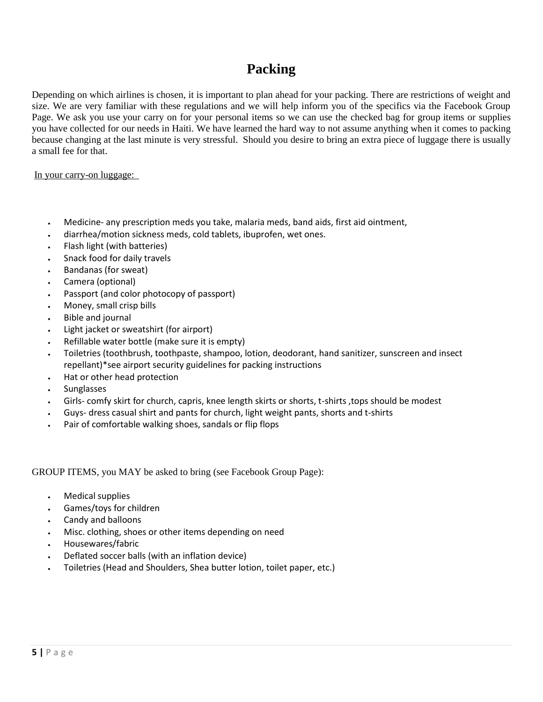## **Packing**

Depending on which airlines is chosen, it is important to plan ahead for your packing. There are restrictions of weight and size. We are very familiar with these regulations and we will help inform you of the specifics via the Facebook Group Page. We ask you use your carry on for your personal items so we can use the checked bag for group items or supplies you have collected for our needs in Haiti. We have learned the hard way to not assume anything when it comes to packing because changing at the last minute is very stressful. Should you desire to bring an extra piece of luggage there is usually a small fee for that.

In your carry-on luggage:

- Medicine- any prescription meds you take, malaria meds, band aids, first aid ointment,
- diarrhea/motion sickness meds, cold tablets, ibuprofen, wet ones.
- Flash light (with batteries)
- Snack food for daily travels
- Bandanas (for sweat)
- Camera (optional)
- Passport (and color photocopy of passport)
- Money, small crisp bills
- Bible and journal
- Light jacket or sweatshirt (for airport)
- Refillable water bottle (make sure it is empty)
- Toiletries (toothbrush, toothpaste, shampoo, lotion, deodorant, hand sanitizer, sunscreen and insect repellant)\*see airport security guidelines for packing instructions
- Hat or other head protection
- Sunglasses
- Girls- comfy skirt for church, capris, knee length skirts or shorts, t-shirts ,tops should be modest
- Guys- dress casual shirt and pants for church, light weight pants, shorts and t-shirts
- Pair of comfortable walking shoes, sandals or flip flops

GROUP ITEMS, you MAY be asked to bring (see Facebook Group Page):

- Medical supplies
- Games/toys for children
- Candy and balloons
- Misc. clothing, shoes or other items depending on need
- Housewares/fabric
- Deflated soccer balls (with an inflation device)
- Toiletries (Head and Shoulders, Shea butter lotion, toilet paper, etc.)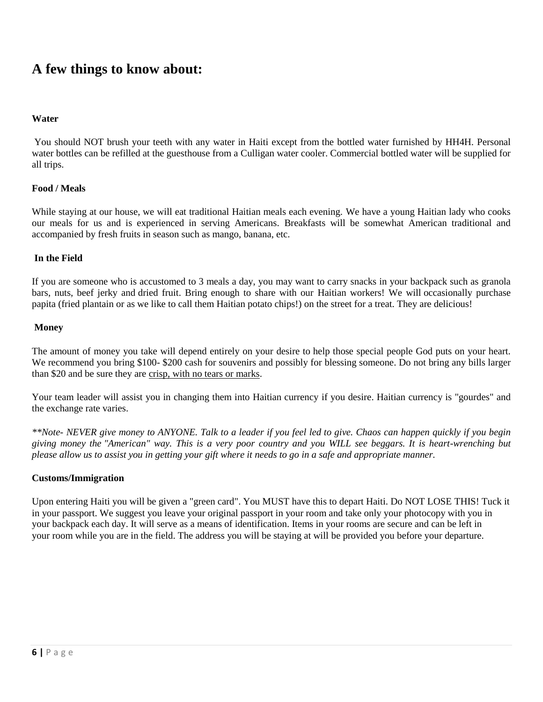## **A few things to know about:**

### **Water**

You should NOT brush your teeth with any water in Haiti except from the bottled water furnished by HH4H. Personal water bottles can be refilled at the guesthouse from a Culligan water cooler. Commercial bottled water will be supplied for all trips.

#### **Food / Meals**

While staying at our house, we will eat traditional Haitian meals each evening. We have a young Haitian lady who cooks our meals for us and is experienced in serving Americans. Breakfasts will be somewhat American traditional and accompanied by fresh fruits in season such as mango, banana, etc.

#### **In the Field**

If you are someone who is accustomed to 3 meals a day, you may want to carry snacks in your backpack such as granola bars, nuts, beef jerky and dried fruit. Bring enough to share with our Haitian workers! We will occasionally purchase papita (fried plantain or as we like to call them Haitian potato chips!) on the street for a treat. They are delicious!

#### **Money**

The amount of money you take will depend entirely on your desire to help those special people God puts on your heart. We recommend you bring \$100- \$200 cash for souvenirs and possibly for blessing someone. Do not bring any bills larger than \$20 and be sure they are crisp, with no tears or marks.

Your team leader will assist you in changing them into Haitian currency if you desire. Haitian currency is "gourdes" and the exchange rate varies.

*\*\*Note- NEVER give money to ANYONE. Talk to a leader if you feel led to give. Chaos can happen quickly if you begin giving money the "American" way. This is a very poor country and you WILL see beggars. It is heart-wrenching but please allow us to assist you in getting your gift where it needs to go in a safe and appropriate manner.*

#### **Customs/Immigration**

Upon entering Haiti you will be given a "green card". You MUST have this to depart Haiti. Do NOT LOSE THIS! Tuck it in your passport. We suggest you leave your original passport in your room and take only your photocopy with you in your backpack each day. It will serve as a means of identification. Items in your rooms are secure and can be left in your room while you are in the field. The address you will be staying at will be provided you before your departure.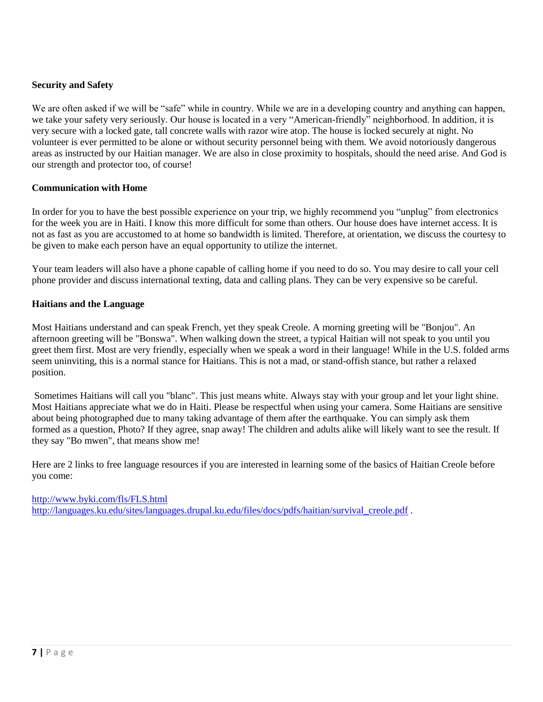## **Security and Safety**

We are often asked if we will be "safe" while in country. While we are in a developing country and anything can happen, we take your safety very seriously. Our house is located in a very "American-friendly" neighborhood. In addition, it is very secure with a locked gate, tall concrete walls with razor wire atop. The house is locked securely at night. No volunteer is ever permitted to be alone or without security personnel being with them. We avoid notoriously dangerous areas as instructed by our Haitian manager. We are also in close proximity to hospitals, should the need arise. And God is our strength and protector too, of course!

#### **Communication with Home**

In order for you to have the best possible experience on your trip, we highly recommend you "unplug" from electronics for the week you are in Haiti. I know this more difficult for some than others. Our house does have internet access. It is not as fast as you are accustomed to at home so bandwidth is limited. Therefore, at orientation, we discuss the courtesy to be given to make each person have an equal opportunity to utilize the internet.

Your team leaders will also have a phone capable of calling home if you need to do so. You may desire to call your cell phone provider and discuss international texting, data and calling plans. They can be very expensive so be careful.

#### **Haitians and the Language**

Most Haitians understand and can speak French, yet they speak Creole. A morning greeting will be "Bonjou". An afternoon greeting will be "Bonswa". When walking down the street, a typical Haitian will not speak to you until you greet them first. Most are very friendly, especially when we speak a word in their language! While in the U.S. folded arms seem uninviting, this is a normal stance for Haitians. This is not a mad, or stand-offish stance, but rather a relaxed position.

Sometimes Haitians will call you "blanc". This just means white. Always stay with your group and let your light shine. Most Haitians appreciate what we do in Haiti. Please be respectful when using your camera. Some Haitians are sensitive about being photographed due to many taking advantage of them after the earthquake. You can simply ask them formed as a question, Photo? If they agree, snap away! The children and adults alike will likely want to see the result. If they say "Bo mwen", that means show me!

Here are 2 links to free language resources if you are interested in learning some of the basics of Haitian Creole before you come:

## <http://www.byki.com/fls/FLS.html> [http://languages.ku.edu/sites/languages.drupal.ku.edu/files/docs/pdfs/haitian/survival\\_creole.pdf](http://languages.ku.edu/sites/languages.drupal.ku.edu/files/docs/pdfs/haitian/survival_creole.pdf) .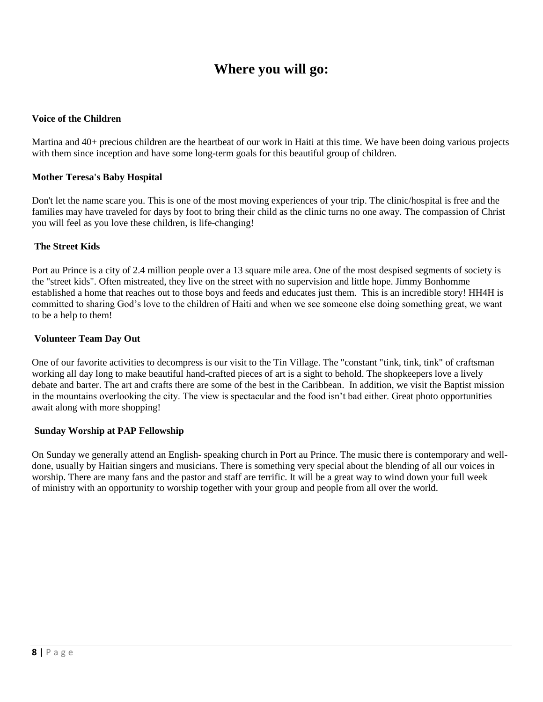## **Where you will go:**

#### **Voice of the Children**

Martina and 40+ precious children are the heartbeat of our work in Haiti at this time. We have been doing various projects with them since inception and have some long-term goals for this beautiful group of children.

#### **Mother Teresa's Baby Hospital**

Don't let the name scare you. This is one of the most moving experiences of your trip. The clinic/hospital is free and the families may have traveled for days by foot to bring their child as the clinic turns no one away. The compassion of Christ you will feel as you love these children, is life-changing!

#### **The Street Kids**

Port au Prince is a city of 2.4 million people over a 13 square mile area. One of the most despised segments of society is the "street kids". Often mistreated, they live on the street with no supervision and little hope. Jimmy Bonhomme established a home that reaches out to those boys and feeds and educates just them. This is an incredible story! HH4H is committed to sharing God's love to the children of Haiti and when we see someone else doing something great, we want to be a help to them!

#### **Volunteer Team Day Out**

One of our favorite activities to decompress is our visit to the Tin Village. The "constant "tink, tink, tink" of craftsman working all day long to make beautiful hand-crafted pieces of art is a sight to behold. The shopkeepers love a lively debate and barter. The art and crafts there are some of the best in the Caribbean. In addition, we visit the Baptist mission in the mountains overlooking the city. The view is spectacular and the food isn't bad either. Great photo opportunities await along with more shopping!

#### **Sunday Worship at PAP Fellowship**

On Sunday we generally attend an English- speaking church in Port au Prince. The music there is contemporary and welldone, usually by Haitian singers and musicians. There is something very special about the blending of all our voices in worship. There are many fans and the pastor and staff are terrific. It will be a great way to wind down your full week of ministry with an opportunity to worship together with your group and people from all over the world.